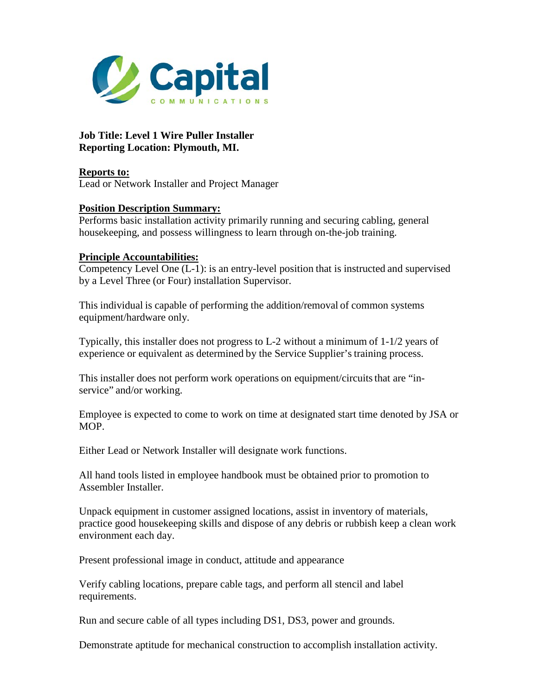

**Job Title: Level 1 Wire Puller Installer Reporting Location: Plymouth, MI.**

**Reports to:**  Lead or Network Installer and Project Manager

## **Position Description Summary:**

Performs basic installation activity primarily running and securing cabling, general housekeeping, and possess willingness to learn through on-the-job training.

## **Principle Accountabilities:**

Competency Level One (L-1): is an entry-level position that is instructed and supervised by a Level Three (or Four) installation Supervisor.

This individual is capable of performing the addition/removal of common systems equipment/hardware only.

Typically, this installer does not progress to L-2 without a minimum of 1-1/2 years of experience or equivalent as determined by the Service Supplier's training process.

This installer does not perform work operations on equipment/circuits that are "inservice" and/or working.

Employee is expected to come to work on time at designated start time denoted by JSA or MOP.

Either Lead or Network Installer will designate work functions.

All hand tools listed in employee handbook must be obtained prior to promotion to Assembler Installer.

Unpack equipment in customer assigned locations, assist in inventory of materials, practice good housekeeping skills and dispose of any debris or rubbish keep a clean work environment each day.

Present professional image in conduct, attitude and appearance

Verify cabling locations, prepare cable tags, and perform all stencil and label requirements.

Run and secure cable of all types including DS1, DS3, power and grounds.

Demonstrate aptitude for mechanical construction to accomplish installation activity.